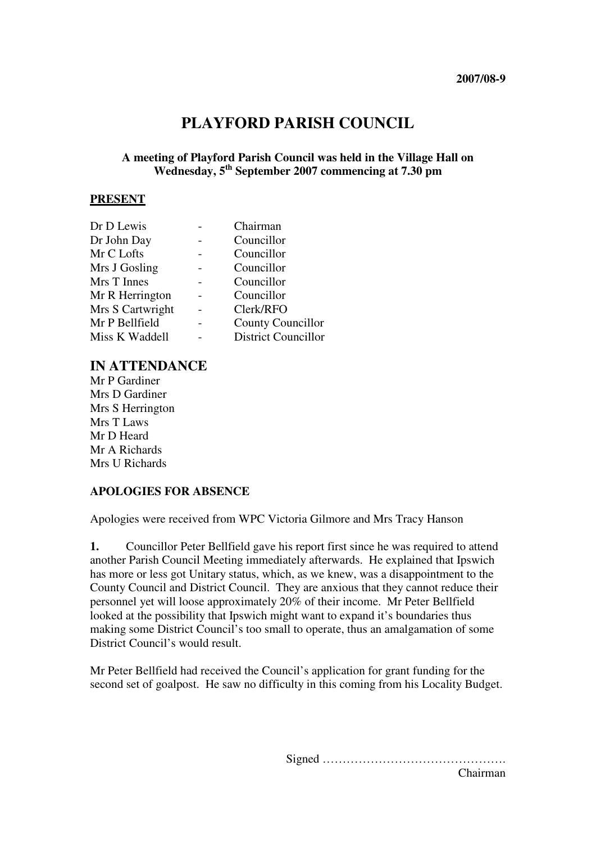# **PLAYFORD PARISH COUNCIL**

### **A meeting of Playford Parish Council was held in the Village Hall on Wednesday, 5th September 2007 commencing at 7.30 pm**

#### **PRESENT**

| Dr D Lewis       | Chairman                   |
|------------------|----------------------------|
| Dr John Day      | Councillor                 |
| Mr C Lofts       | Councillor                 |
| Mrs J Gosling    | Councillor                 |
| Mrs T Innes      | Councillor                 |
| Mr R Herrington  | Councillor                 |
| Mrs S Cartwright | Clerk/RFO                  |
| Mr P Bellfield   | <b>County Councillor</b>   |
| Miss K Waddell   | <b>District Councillor</b> |

## **IN ATTENDANCE**

Mr P Gardiner Mrs D Gardiner Mrs S Herrington Mrs T Laws Mr D Heard Mr A Richards Mrs U Richards

#### **APOLOGIES FOR ABSENCE**

Apologies were received from WPC Victoria Gilmore and Mrs Tracy Hanson

**1.** Councillor Peter Bellfield gave his report first since he was required to attend another Parish Council Meeting immediately afterwards. He explained that Ipswich has more or less got Unitary status, which, as we knew, was a disappointment to the County Council and District Council. They are anxious that they cannot reduce their personnel yet will loose approximately 20% of their income. Mr Peter Bellfield looked at the possibility that Ipswich might want to expand it's boundaries thus making some District Council's too small to operate, thus an amalgamation of some District Council's would result.

Mr Peter Bellfield had received the Council's application for grant funding for the second set of goalpost. He saw no difficulty in this coming from his Locality Budget.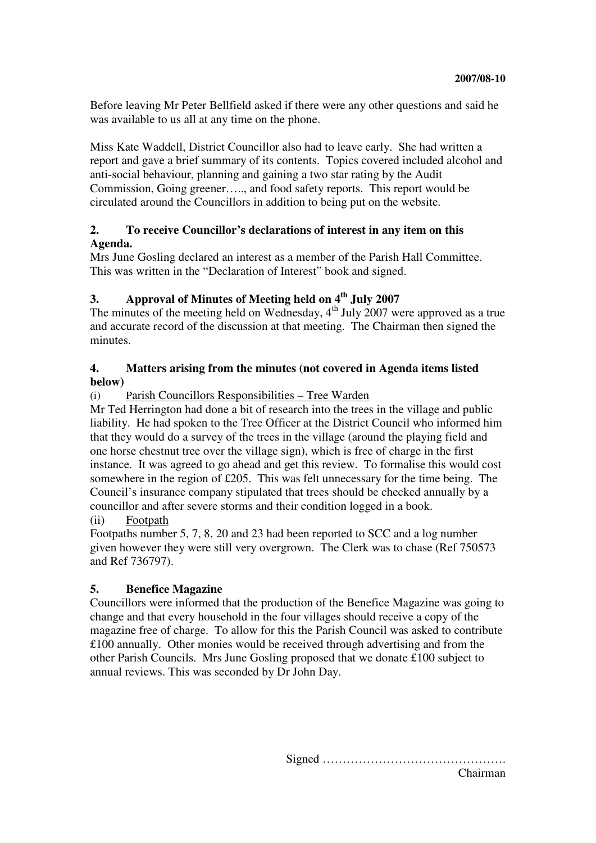Before leaving Mr Peter Bellfield asked if there were any other questions and said he was available to us all at any time on the phone.

Miss Kate Waddell, District Councillor also had to leave early. She had written a report and gave a brief summary of its contents. Topics covered included alcohol and anti-social behaviour, planning and gaining a two star rating by the Audit Commission, Going greener….., and food safety reports. This report would be circulated around the Councillors in addition to being put on the website.

### **2. To receive Councillor's declarations of interest in any item on this Agenda.**

Mrs June Gosling declared an interest as a member of the Parish Hall Committee. This was written in the "Declaration of Interest" book and signed.

## **3. Approval of Minutes of Meeting held on 4th July 2007**

The minutes of the meeting held on Wednesday,  $4<sup>th</sup>$  July 2007 were approved as a true and accurate record of the discussion at that meeting. The Chairman then signed the minutes.

#### **4. Matters arising from the minutes (not covered in Agenda items listed below)**

## (i) Parish Councillors Responsibilities – Tree Warden

Mr Ted Herrington had done a bit of research into the trees in the village and public liability. He had spoken to the Tree Officer at the District Council who informed him that they would do a survey of the trees in the village (around the playing field and one horse chestnut tree over the village sign), which is free of charge in the first instance. It was agreed to go ahead and get this review. To formalise this would cost somewhere in the region of £205. This was felt unnecessary for the time being. The Council's insurance company stipulated that trees should be checked annually by a councillor and after severe storms and their condition logged in a book.

(ii) Footpath

Footpaths number 5, 7, 8, 20 and 23 had been reported to SCC and a log number given however they were still very overgrown. The Clerk was to chase (Ref 750573 and Ref 736797).

## **5. Benefice Magazine**

Councillors were informed that the production of the Benefice Magazine was going to change and that every household in the four villages should receive a copy of the magazine free of charge. To allow for this the Parish Council was asked to contribute £100 annually. Other monies would be received through advertising and from the other Parish Councils. Mrs June Gosling proposed that we donate £100 subject to annual reviews. This was seconded by Dr John Day.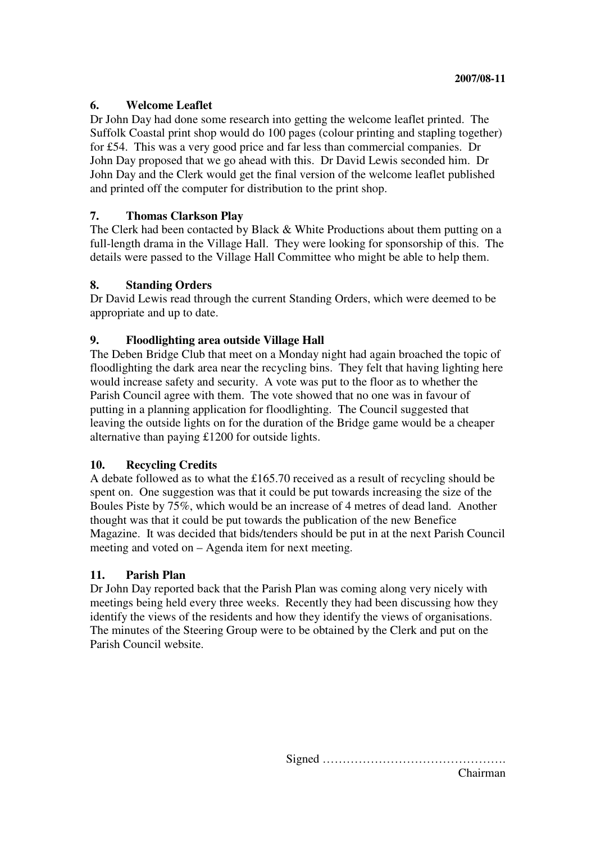#### **6. Welcome Leaflet**

Dr John Day had done some research into getting the welcome leaflet printed. The Suffolk Coastal print shop would do 100 pages (colour printing and stapling together) for £54. This was a very good price and far less than commercial companies. Dr John Day proposed that we go ahead with this. Dr David Lewis seconded him. Dr John Day and the Clerk would get the final version of the welcome leaflet published and printed off the computer for distribution to the print shop.

#### **7. Thomas Clarkson Play**

The Clerk had been contacted by Black & White Productions about them putting on a full-length drama in the Village Hall. They were looking for sponsorship of this. The details were passed to the Village Hall Committee who might be able to help them.

#### **8. Standing Orders**

Dr David Lewis read through the current Standing Orders, which were deemed to be appropriate and up to date.

## **9. Floodlighting area outside Village Hall**

The Deben Bridge Club that meet on a Monday night had again broached the topic of floodlighting the dark area near the recycling bins. They felt that having lighting here would increase safety and security. A vote was put to the floor as to whether the Parish Council agree with them. The vote showed that no one was in favour of putting in a planning application for floodlighting. The Council suggested that leaving the outside lights on for the duration of the Bridge game would be a cheaper alternative than paying £1200 for outside lights.

#### **10. Recycling Credits**

A debate followed as to what the £165.70 received as a result of recycling should be spent on. One suggestion was that it could be put towards increasing the size of the Boules Piste by 75%, which would be an increase of 4 metres of dead land. Another thought was that it could be put towards the publication of the new Benefice Magazine. It was decided that bids/tenders should be put in at the next Parish Council meeting and voted on – Agenda item for next meeting.

#### **11. Parish Plan**

Dr John Day reported back that the Parish Plan was coming along very nicely with meetings being held every three weeks. Recently they had been discussing how they identify the views of the residents and how they identify the views of organisations. The minutes of the Steering Group were to be obtained by the Clerk and put on the Parish Council website.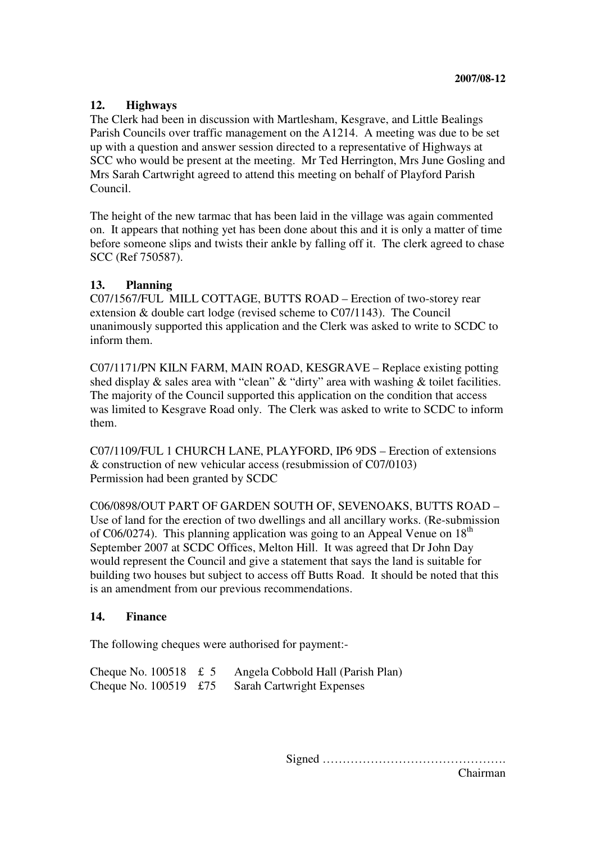## **12. Highways**

The Clerk had been in discussion with Martlesham, Kesgrave, and Little Bealings Parish Councils over traffic management on the A1214. A meeting was due to be set up with a question and answer session directed to a representative of Highways at SCC who would be present at the meeting. Mr Ted Herrington, Mrs June Gosling and Mrs Sarah Cartwright agreed to attend this meeting on behalf of Playford Parish Council.

The height of the new tarmac that has been laid in the village was again commented on. It appears that nothing yet has been done about this and it is only a matter of time before someone slips and twists their ankle by falling off it. The clerk agreed to chase SCC (Ref 750587).

#### **13. Planning**

C07/1567/FUL MILL COTTAGE, BUTTS ROAD – Erection of two-storey rear extension & double cart lodge (revised scheme to C07/1143). The Council unanimously supported this application and the Clerk was asked to write to SCDC to inform them.

C07/1171/PN KILN FARM, MAIN ROAD, KESGRAVE – Replace existing potting shed display & sales area with "clean" & "dirty" area with washing & toilet facilities. The majority of the Council supported this application on the condition that access was limited to Kesgrave Road only. The Clerk was asked to write to SCDC to inform them.

C07/1109/FUL 1 CHURCH LANE, PLAYFORD, IP6 9DS – Erection of extensions & construction of new vehicular access (resubmission of C07/0103) Permission had been granted by SCDC

C06/0898/OUT PART OF GARDEN SOUTH OF, SEVENOAKS, BUTTS ROAD – Use of land for the erection of two dwellings and all ancillary works. (Re-submission of  $C06/0274$ ). This planning application was going to an Appeal Venue on  $18<sup>th</sup>$ September 2007 at SCDC Offices, Melton Hill. It was agreed that Dr John Day would represent the Council and give a statement that says the land is suitable for building two houses but subject to access off Butts Road. It should be noted that this is an amendment from our previous recommendations.

#### **14. Finance**

The following cheques were authorised for payment:-

| Cheque No. $100518 \text{ } \text{£} 5$ | Angela Cobbold Hall (Parish Plan) |
|-----------------------------------------|-----------------------------------|
| Cheque No. $100519$ £75                 | <b>Sarah Cartwright Expenses</b>  |